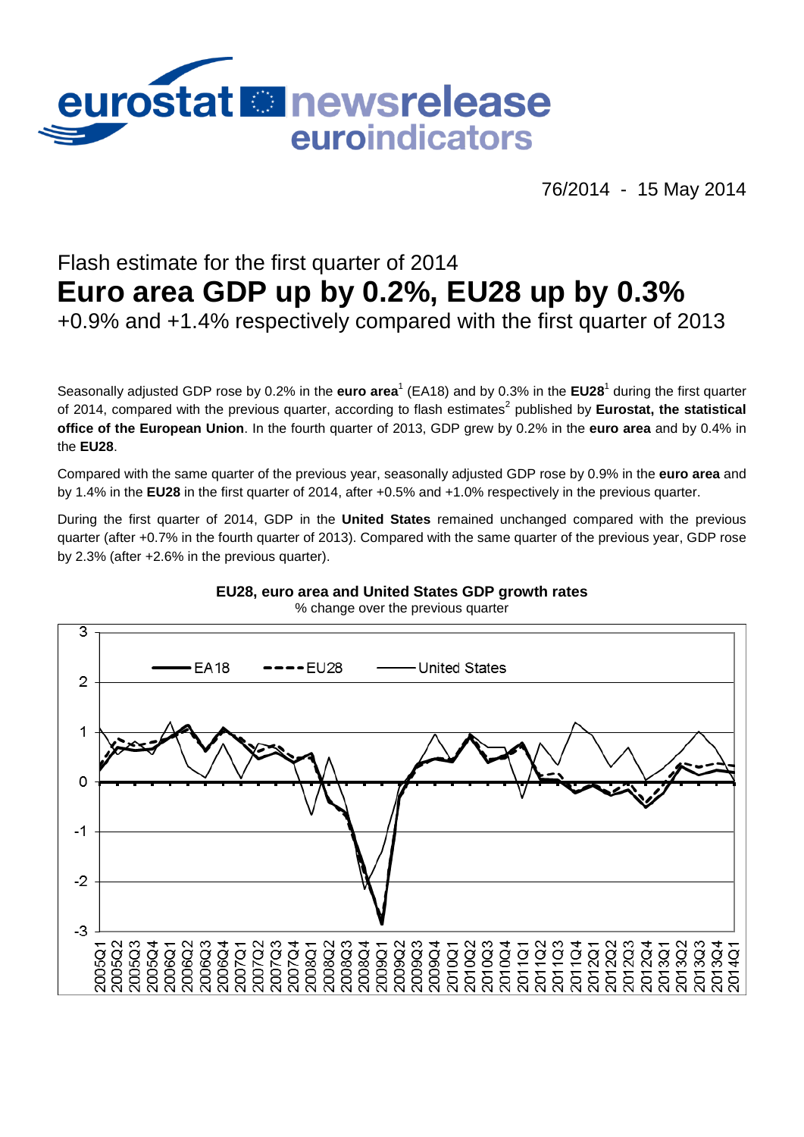

76/2014 - 15 May 2014

## Flash estimate for the first quarter of 2014 **Euro area GDP up by 0.2%, EU28 up by 0.3%**

+0.9% and +1.4% respectively compared with the first quarter of 2013

Seasonally adjusted GDP rose by 0.2% in the **euro area<sup>1</sup> (EA18)** and by 0.3% in the EU28<sup>1</sup> during the first quarter of 2014, compared with the previous quarter, according to flash estimates<sup>2</sup> published by **Eurostat, the statistical office of the European Union**. In the fourth quarter of 2013, GDP grew by 0.2% in the **euro area** and by 0.4% in the **EU28**.

Compared with the same quarter of the previous year, seasonally adjusted GDP rose by 0.9% in the **euro area** and by 1.4% in the **EU28** in the first quarter of 2014, after +0.5% and +1.0% respectively in the previous quarter.

During the first quarter of 2014, GDP in the **United States** remained unchanged compared with the previous quarter (after +0.7% in the fourth quarter of 2013). Compared with the same quarter of the previous year, GDP rose by 2.3% (after +2.6% in the previous quarter).



## **EU28, euro area and United States GDP growth rates**

% change over the previous quarter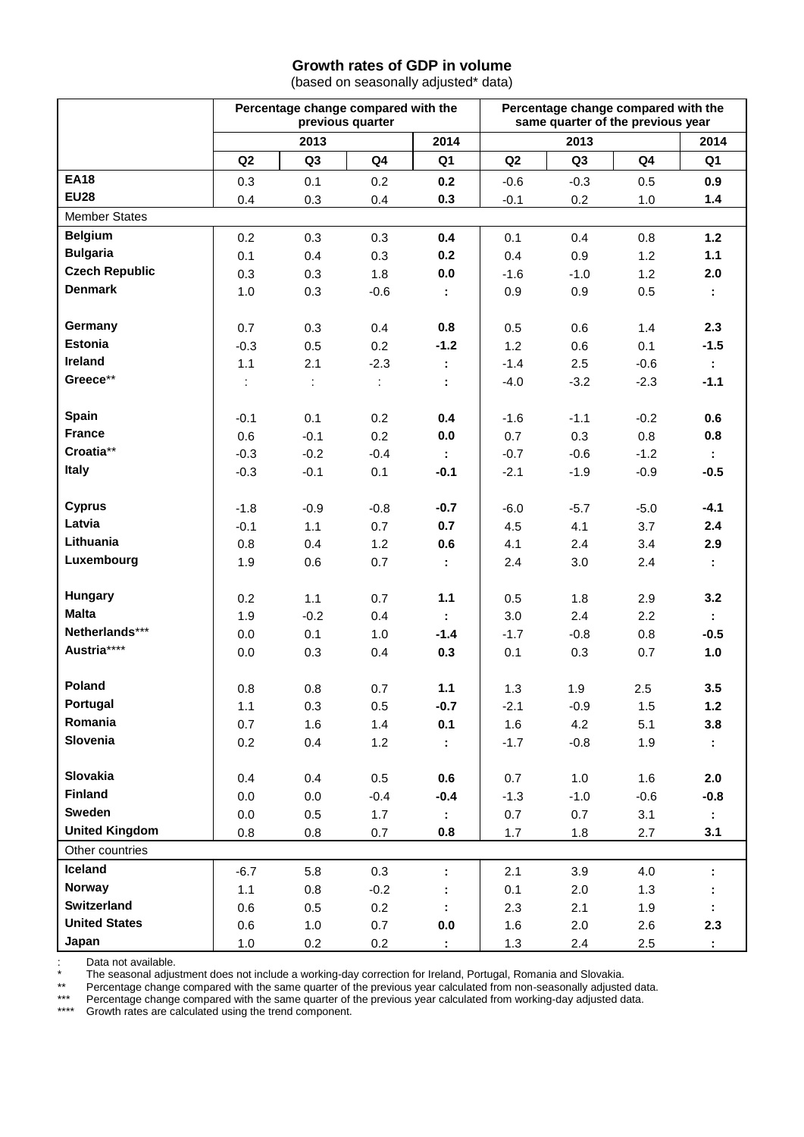## **Growth rates of GDP in volume**

(based on seasonally adjusted\* data)

|                       | Percentage change compared with the<br>previous quarter |                |                             |              | Percentage change compared with the<br>same quarter of the previous year |                |                  |                |
|-----------------------|---------------------------------------------------------|----------------|-----------------------------|--------------|--------------------------------------------------------------------------|----------------|------------------|----------------|
|                       | 2013                                                    |                | 2014                        | 2013         |                                                                          | 2014           |                  |                |
|                       | Q <sub>2</sub>                                          | Q <sub>3</sub> | Q4                          | Q1           | Q2                                                                       | Q <sub>3</sub> | Q4               | Q1             |
| <b>EA18</b>           | 0.3                                                     | 0.1            | 0.2                         | 0.2          | $-0.6$                                                                   | $-0.3$         | 0.5              | 0.9            |
| <b>EU28</b>           | 0.4                                                     | 0.3            | 0.4                         | 0.3          | $-0.1$                                                                   | 0.2            | 1.0              | 1.4            |
| <b>Member States</b>  |                                                         |                |                             |              |                                                                          |                |                  |                |
| <b>Belgium</b>        | 0.2                                                     | 0.3            | 0.3                         | 0.4          | 0.1                                                                      | 0.4            | 0.8              | $1.2$          |
| <b>Bulgaria</b>       | 0.1                                                     | 0.4            | 0.3                         | 0.2          | 0.4                                                                      | 0.9            | 1.2              | $1.1$          |
| <b>Czech Republic</b> | 0.3                                                     | 0.3            | 1.8                         | 0.0          | $-1.6$                                                                   | $-1.0$         | 1.2              | 2.0            |
| <b>Denmark</b>        | 1.0                                                     | 0.3            | $-0.6$                      | ÷.           | 0.9                                                                      | 0.9            | 0.5              | ÷.             |
|                       |                                                         |                |                             |              |                                                                          |                |                  |                |
| Germany               | 0.7                                                     | 0.3            | 0.4                         | 0.8          | 0.5                                                                      | 0.6            | 1.4              | 2.3            |
| <b>Estonia</b>        | $-0.3$                                                  | 0.5            | 0.2                         | $-1.2$       | 1.2                                                                      | 0.6            | 0.1              | $-1.5$         |
| Ireland               | 1.1                                                     | 2.1            | $-2.3$                      | ÷.           | $-1.4$                                                                   | 2.5            | $-0.6$           | ÷.             |
| Greece**              | ÷                                                       | ÷              | $\mathcal{I}^{\mathcal{I}}$ | ÷            | $-4.0$                                                                   | $-3.2$         | $-2.3$           | $-1.1$         |
|                       |                                                         |                |                             |              |                                                                          |                |                  |                |
| Spain                 | $-0.1$                                                  | 0.1            | 0.2                         | 0.4          | $-1.6$                                                                   | $-1.1$         | $-0.2$           | 0.6            |
| <b>France</b>         | 0.6                                                     | $-0.1$         | 0.2                         | 0.0          | 0.7                                                                      | 0.3            | 0.8              | 0.8            |
| Croatia**             | $-0.3$                                                  | $-0.2$         | $-0.4$                      | ÷.           | $-0.7$                                                                   | $-0.6$         | $-1.2$           | ÷.             |
| Italy                 | $-0.3$                                                  | $-0.1$         | 0.1                         | $-0.1$       | $-2.1$                                                                   | $-1.9$         | $-0.9$           | $-0.5$         |
|                       |                                                         |                |                             |              |                                                                          |                |                  |                |
| <b>Cyprus</b>         | $-1.8$                                                  | $-0.9$         | $-0.8$                      | $-0.7$       | $-6.0$                                                                   | $-5.7$         | $-5.0$           | $-4.1$         |
| Latvia                | $-0.1$                                                  | 1.1            | 0.7                         | 0.7          | 4.5                                                                      | 4.1            | 3.7              | 2.4            |
| Lithuania             | 0.8                                                     | 0.4            | 1.2                         | 0.6          | 4.1                                                                      | 2.4            | 3.4              | 2.9            |
| Luxembourg            | 1.9                                                     | 0.6            | 0.7                         | ÷.           | 2.4                                                                      | 3.0            | 2.4              | $\mathbb{Z}^+$ |
| <b>Hungary</b>        |                                                         |                |                             | $1.1$        |                                                                          |                |                  |                |
| <b>Malta</b>          | 0.2<br>1.9                                              | 1.1<br>$-0.2$  | 0.7<br>0.4                  |              | 0.5<br>3.0                                                               | 1.8<br>2.4     | 2.9<br>2.2       | 3.2            |
| Netherlands***        |                                                         | 0.1            | 1.0                         | ÷.<br>$-1.4$ | $-1.7$                                                                   | $-0.8$         |                  | ÷.<br>$-0.5$   |
| Austria****           | 0.0                                                     |                | 0.4                         | 0.3          |                                                                          |                | 0.8              | 1.0            |
|                       | 0.0                                                     | 0.3            |                             |              | 0.1                                                                      | 0.3            | 0.7              |                |
| Poland                | 0.8                                                     | 0.8            | 0.7                         | 1.1          | 1.3                                                                      | 1.9            | 2.5              | 3.5            |
| Portugal              | 1.1                                                     | 0.3            | 0.5                         | $-0.7$       | $-2.1$                                                                   | $-0.9$         | 1.5              | $1.2$          |
| Romania               | 0.7                                                     | 1.6            | 1.4                         | 0.1          | 1.6                                                                      | 4.2            | 5.1              | 3.8            |
| Slovenia              | 0.2                                                     | 0.4            | 1.2                         | ÷.           | $-1.7$                                                                   | $-0.8$         | 1.9              |                |
|                       |                                                         |                |                             |              |                                                                          |                |                  |                |
| Slovakia              | 0.4                                                     | 0.4            | 0.5                         | 0.6          | 0.7                                                                      | 1.0            | 1.6              | 2.0            |
| Finland               | 0.0                                                     | 0.0            | $-0.4$                      | $-0.4$       | $-1.3$                                                                   | $-1.0$         | $-0.6$           | $-0.8$         |
| <b>Sweden</b>         | 0.0                                                     | 0.5            | 1.7                         | ÷.           | 0.7                                                                      | 0.7            | 3.1              | ÷.             |
| <b>United Kingdom</b> | 0.8                                                     | 0.8            | 0.7                         | 0.8          | 1.7                                                                      | 1.8            | 2.7              | 3.1            |
| Other countries       |                                                         |                |                             |              |                                                                          |                |                  |                |
| Iceland               | $-6.7$                                                  | 5.8            | 0.3                         | ÷.           | 2.1                                                                      | 3.9            | 4.0              | ÷              |
| Norway                | 1.1                                                     | 0.8            | $-0.2$                      |              | 0.1                                                                      | 2.0            | 1.3              |                |
| Switzerland           | 0.6                                                     | 0.5            | 0.2                         |              | 2.3                                                                      | 2.1            | 1.9              |                |
| <b>United States</b>  | 0.6                                                     | 1.0            | 0.7                         | 0.0          | 1.6                                                                      | 2.0            | 2.6              | 2.3            |
| Japan                 | $1.0$                                                   | 0.2            | 0.2                         | ÷.           | 1.3                                                                      | 2.4            | $2.5\phantom{0}$ | $\mathbb{Z}^+$ |

: Data not available.

\* The seasonal adjustment does not include a working-day correction for Ireland, Portugal, Romania and Slovakia.

\*\* Percentage change compared with the same quarter of the previous year calculated from non-seasonally adjusted data.

\*\*\* Percentage change compared with the same quarter of the previous year calculated from working-day adjusted data.

\*\*\*\* Growth rates are calculated using the trend component.